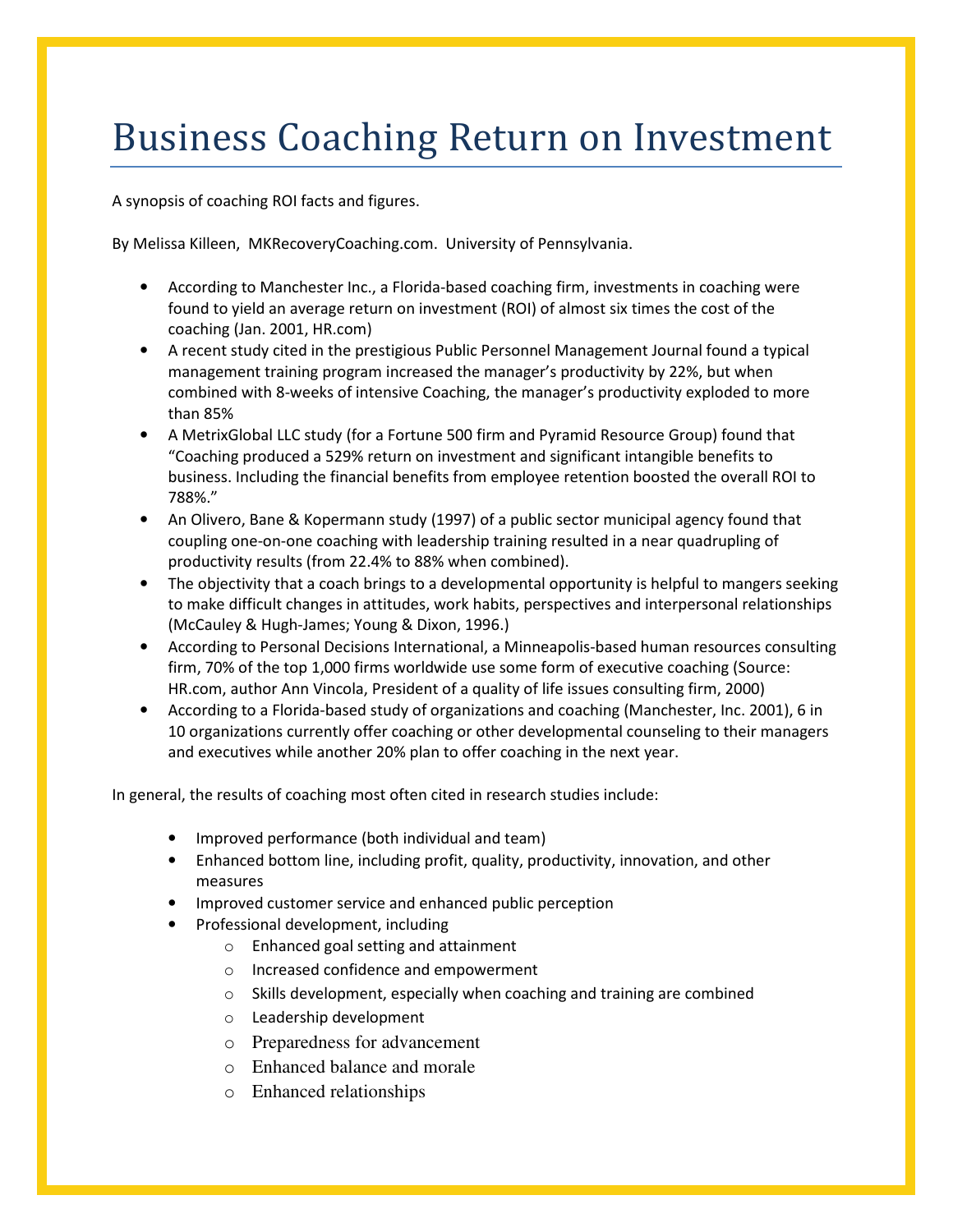## Business Coaching Return on Investment

A synopsis of coaching ROI facts and figures.

By Melissa Killeen, MKRecoveryCoaching.com. University of Pennsylvania.

- According to Manchester Inc., a Florida-based coaching firm, investments in coaching were found to yield an average return on investment (ROI) of almost six times the cost of the coaching (Jan. 2001, HR.com)
- A recent study cited in the prestigious Public Personnel Management Journal found a typical management training program increased the manager's productivity by 22%, but when combined with 8-weeks of intensive Coaching, the manager's productivity exploded to more than 85%
- A MetrixGlobal LLC study (for a Fortune 500 firm and Pyramid Resource Group) found that "Coaching produced a 529% return on investment and significant intangible benefits to business. Including the financial benefits from employee retention boosted the overall ROI to 788%."
- An Olivero, Bane & Kopermann study (1997) of a public sector municipal agency found that coupling one-on-one coaching with leadership training resulted in a near quadrupling of productivity results (from 22.4% to 88% when combined).
- The objectivity that a coach brings to a developmental opportunity is helpful to mangers seeking to make difficult changes in attitudes, work habits, perspectives and interpersonal relationships (McCauley & Hugh-James; Young & Dixon, 1996.)
- According to Personal Decisions International, a Minneapolis-based human resources consulting firm, 70% of the top 1,000 firms worldwide use some form of executive coaching (Source: HR.com, author Ann Vincola, President of a quality of life issues consulting firm, 2000)
- According to a Florida-based study of organizations and coaching (Manchester, Inc. 2001), 6 in 10 organizations currently offer coaching or other developmental counseling to their managers and executives while another 20% plan to offer coaching in the next year.

In general, the results of coaching most often cited in research studies include:

- Improved performance (both individual and team)
- Enhanced bottom line, including profit, quality, productivity, innovation, and other measures
- Improved customer service and enhanced public perception
- Professional development, including
	- o Enhanced goal setting and attainment
	- o Increased confidence and empowerment
	- o Skills development, especially when coaching and training are combined
	- o Leadership development
	- o Preparedness for advancement
	- o Enhanced balance and morale
	- o Enhanced relationships